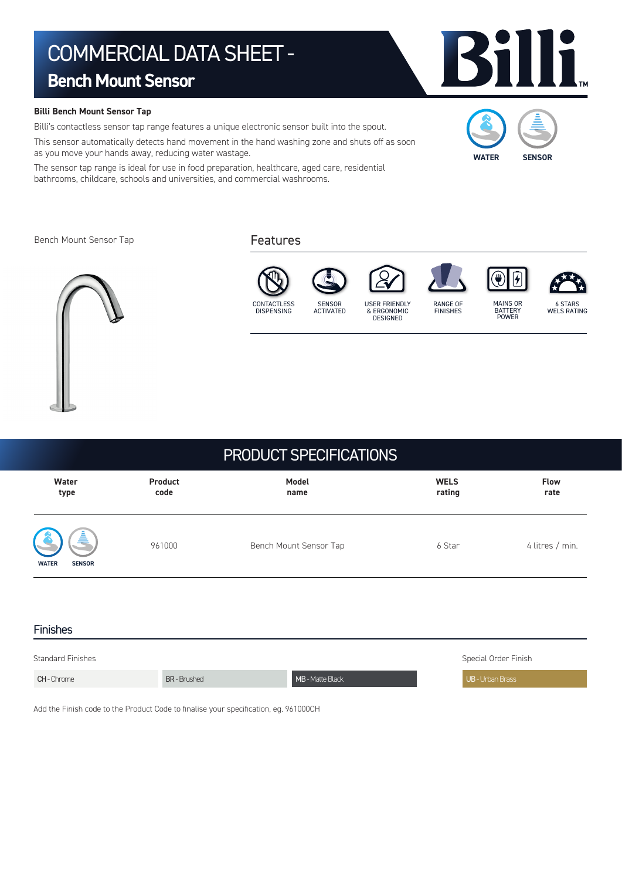# COMMERCIAL DATA SHEET -

# **Bench Mount Sensor**

## **Billi Bench Mount Sensor Tap**

Billi's contactless sensor tap range features a unique electronic sensor built into the spout.

This sensor automatically detects hand movement in the hand washing zone and shuts off as soon as you move your hands away, reducing water wastage.

The sensor tap range is ideal for use in food preparation, healthcare, aged care, residential bathrooms, childcare, schools and universities, and commercial washrooms.

Bench Mount Sensor Tap







| Water                               | Product | Model                  | <b>WELS</b> | <b>Flow</b>     |
|-------------------------------------|---------|------------------------|-------------|-----------------|
| type                                | code    | name                   | rating      | rate            |
| å,<br><b>WATER</b><br><b>SENSOR</b> | 961000  | Bench Mount Sensor Tap | 6 Star      | 4 litres / min. |

| <b>Finishes</b>          |                   |                  |                      |  |  |  |
|--------------------------|-------------------|------------------|----------------------|--|--|--|
| <b>Standard Finishes</b> |                   |                  | Special Order Finish |  |  |  |
| <b>CH-Chrome</b>         | <b>BR-Brushed</b> | MB - Matte Black | UB - Urban Brass     |  |  |  |

Add the Finish code to the Product Code to finalise your specification, eg. 961000CH